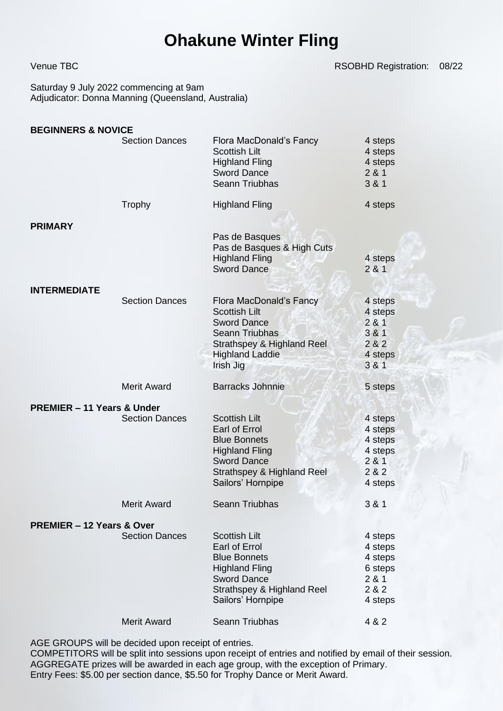## **Ohakune Winter Fling**

Venue TBC **RSOBHD Registration:** 08/22

Saturday 9 July 2022 commencing at 9am Adjudicator: Donna Manning (Queensland, Australia)

| <b>BEGINNERS &amp; NOVICE</b>         |                                             |                                                                                                                                                                                  |                                                                              |
|---------------------------------------|---------------------------------------------|----------------------------------------------------------------------------------------------------------------------------------------------------------------------------------|------------------------------------------------------------------------------|
|                                       | <b>Section Dances</b>                       | Flora MacDonald's Fancy<br><b>Scottish Lilt</b><br><b>Highland Fling</b><br><b>Sword Dance</b><br>Seann Triubhas                                                                 | 4 steps<br>4 steps<br>4 steps<br>281<br>3 & 1                                |
|                                       | Trophy                                      | <b>Highland Fling</b>                                                                                                                                                            | 4 steps                                                                      |
| <b>PRIMARY</b>                        |                                             | Pas de Basques<br>Pas de Basques & High Cuts<br><b>Highland Fling</b><br><b>Sword Dance</b>                                                                                      | 4 steps<br>281                                                               |
| <b>INTERMEDIATE</b>                   | <b>Section Dances</b>                       | Flora MacDonald's Fancy<br><b>Scottish Lilt</b><br><b>Sword Dance</b><br><b>Seann Triubhas</b><br>Strathspey & Highland Reel<br><b>Highland Laddie</b><br>Irish Jig              | 4 steps<br>4 steps<br>281<br>381<br>282<br>4 steps<br>3 & 1                  |
|                                       | <b>Merit Award</b>                          | <b>Barracks Johnnie</b>                                                                                                                                                          | 5 steps                                                                      |
|                                       |                                             |                                                                                                                                                                                  |                                                                              |
| <b>PREMIER - 11 Years &amp; Under</b> | <b>Section Dances</b>                       | <b>Scottish Lilt</b><br>Earl of Errol<br><b>Blue Bonnets</b><br><b>Highland Fling</b><br><b>Sword Dance</b><br>Strathspey & Highland Reel<br>Sailors' Hornpipe                   | 4 steps<br>4 steps<br>4 steps<br>4 steps<br>281<br>282<br>4 steps            |
|                                       | <b>Merit Award</b>                          | Seann Triubhas                                                                                                                                                                   | 3 & 1                                                                        |
| <b>PREMIER - 12 Years &amp; Over</b>  |                                             |                                                                                                                                                                                  |                                                                              |
|                                       | <b>Section Dances</b><br><b>Merit Award</b> | <b>Scottish Lilt</b><br>Earl of Errol<br><b>Blue Bonnets</b><br><b>Highland Fling</b><br><b>Sword Dance</b><br>Strathspey & Highland Reel<br>Sailors' Hornpipe<br>Seann Triubhas | 4 steps<br>4 steps<br>4 steps<br>6 steps<br>281<br>2 & 2<br>4 steps<br>4 & 2 |

AGE GROUPS will be decided upon receipt of entries.

COMPETITORS will be split into sessions upon receipt of entries and notified by email of their session. AGGREGATE prizes will be awarded in each age group, with the exception of Primary. Entry Fees: \$5.00 per section dance, \$5.50 for Trophy Dance or Merit Award.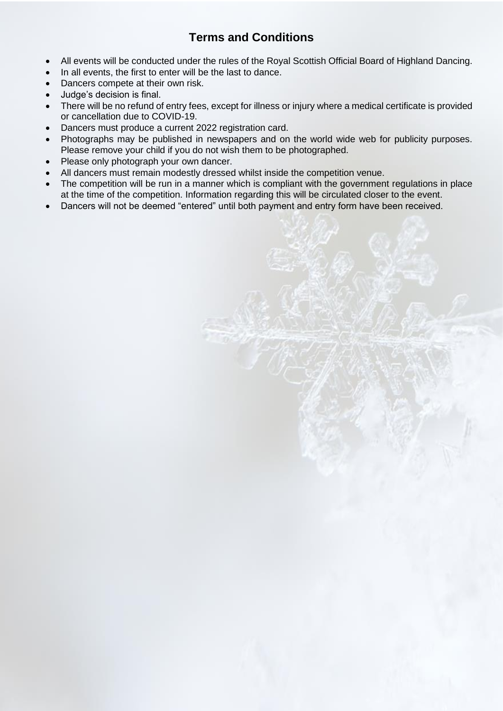## **Terms and Conditions**

- All events will be conducted under the rules of the Royal Scottish Official Board of Highland Dancing.
- In all events, the first to enter will be the last to dance.
- Dancers compete at their own risk.
- Judge's decision is final.
- There will be no refund of entry fees, except for illness or injury where a medical certificate is provided or cancellation due to COVID-19.
- Dancers must produce a current 2022 registration card.
- Photographs may be published in newspapers and on the world wide web for publicity purposes. Please remove your child if you do not wish them to be photographed.
- Please only photograph your own dancer.
- All dancers must remain modestly dressed whilst inside the competition venue.
- The competition will be run in a manner which is compliant with the government regulations in place at the time of the competition. Information regarding this will be circulated closer to the event.
- Dancers will not be deemed "entered" until both payment and entry form have been received.